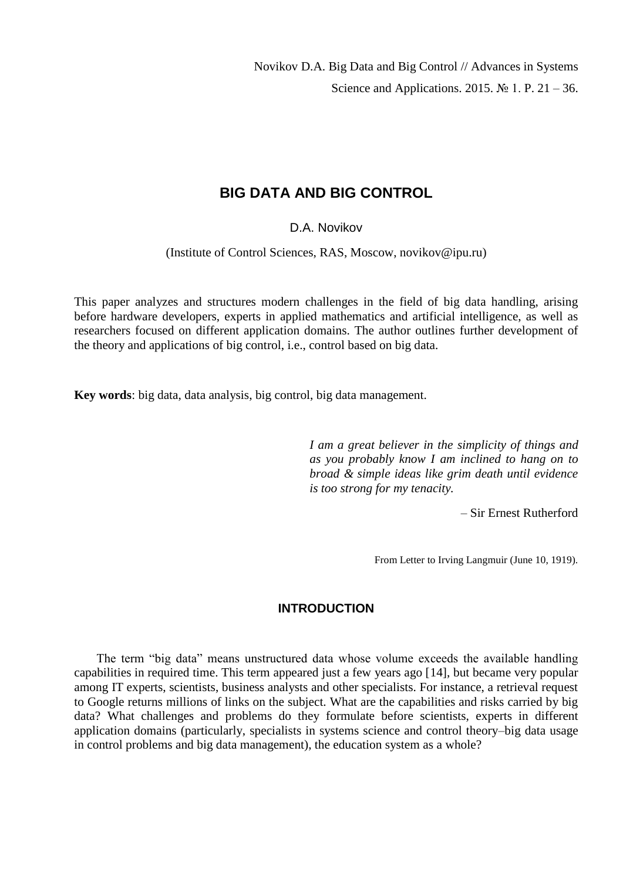Novikov D.A. Big Data and Big Control // Advances in Systems Science and Applications. 2015. № 1. P.  $21 - 36$ .

# **BIG DATA AND BIG CONTROL**

## D.A. Novikov

(Institute of Control Sciences, RAS, Moscow, novikov@ipu.ru)

This paper analyzes and structures modern challenges in the field of big data handling, arising before hardware developers, experts in applied mathematics and artificial intelligence, as well as researchers focused on different application domains. The author outlines further development of the theory and applications of big control, i.e., control based on big data.

**Key words**: big data, data analysis, big control, big data management.

*I am a great believer in the simplicity of things and as you probably know I am inclined to hang on to broad & simple ideas like grim death until evidence is too strong for my tenacity.*

– Sir Ernest Rutherford

From Letter to Irving Langmuir (June 10, 1919).

# **INTRODUCTION**

The term "big data" means unstructured data whose volume exceeds the available handling capabilities in required time. This term appeared just a few years ago [\[14\]](#page-13-0), but became very popular among IT experts, scientists, business analysts and other specialists. For instance, a retrieval request to Google returns millions of links on the subject. What are the capabilities and risks carried by big data? What challenges and problems do they formulate before scientists, experts in different application domains (particularly, specialists in systems science and control theory–big data usage in control problems and big data management), the education system as a whole?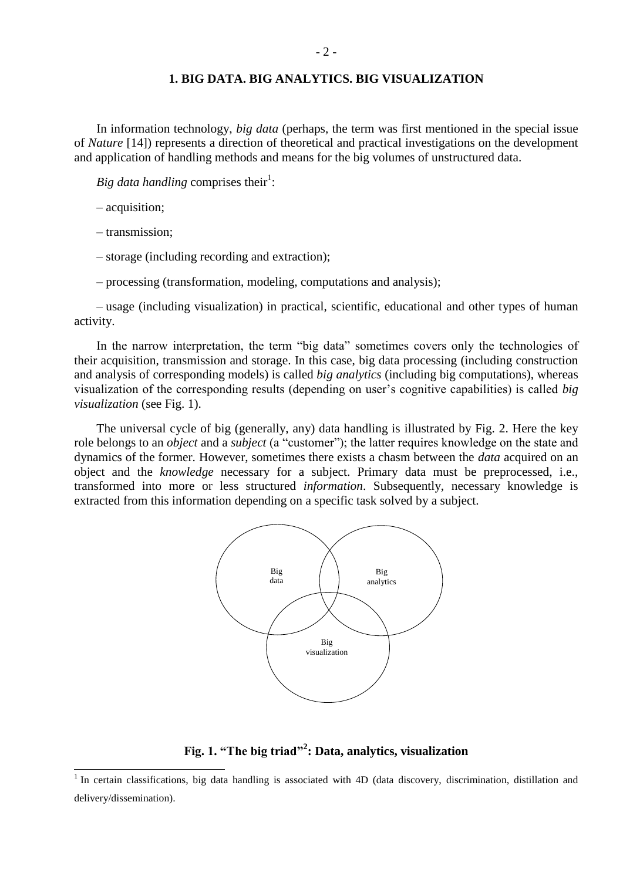### **1. BIG DATA. BIG ANALYTICS. BIG VISUALIZATION**

In information technology, *big data* (perhaps, the term was first mentioned in the special issue of *Nature* [\[14\]](#page-13-0)) represents a direction of theoretical and practical investigations on the development and application of handling methods and means for the big volumes of unstructured data.

 $Big data$  *handling* comprises their<sup>1</sup>:

– acquisition;

– transmission;

– storage (including recording and extraction);

– processing (transformation, modeling, computations and analysis);

– usage (including visualization) in practical, scientific, educational and other types of human activity.

In the narrow interpretation, the term "big data" sometimes covers only the technologies of their acquisition, transmission and storage. In this case, big data processing (including construction and analysis of corresponding models) is called *big analytics* (including big computations), whereas visualization of the corresponding results (depending on user's cognitive capabilities) is called *big visualization* (see Fig. 1).

The universal cycle of big (generally, any) data handling is illustrated by Fig. 2. Here the key role belongs to an *object* and a *subject* (a "customer"); the latter requires knowledge on the state and dynamics of the former. However, sometimes there exists a chasm between the *data* acquired on an object and the *knowledge* necessary for a subject. Primary data must be preprocessed, i.e., transformed into more or less structured *information*. Subsequently, necessary knowledge is extracted from this information depending on a specific task solved by a subject.



**Fig. 1. "The big triad"<sup>2</sup> : Data, analytics, visualization**

 1 In certain classifications, big data handling is associated with 4D (data discovery, discrimination, distillation and delivery/dissemination).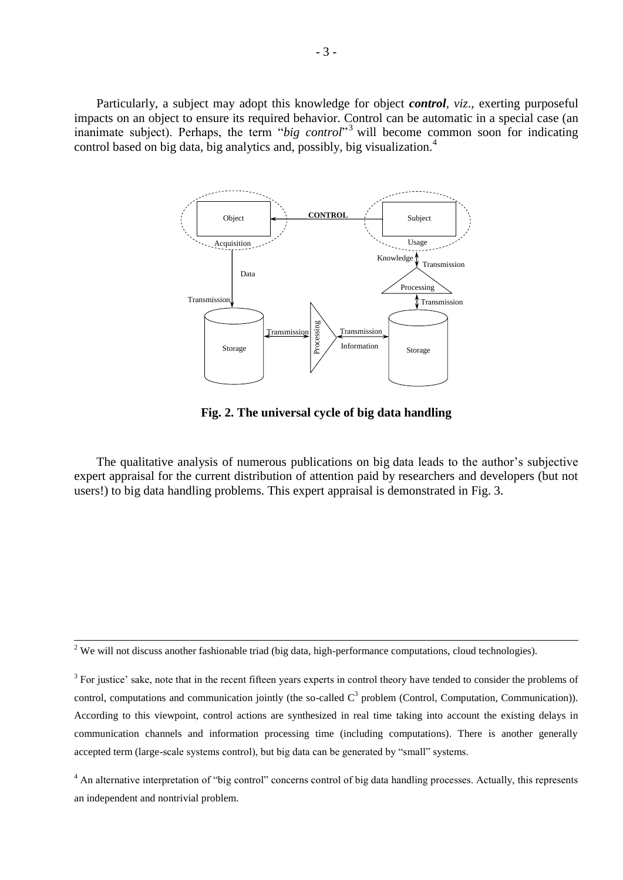Particularly, a subject may adopt this knowledge for object *control*, *viz*., exerting purposeful impacts on an object to ensure its required behavior. Control can be automatic in a special case (an inanimate subject). Perhaps, the term "*big control*" <sup>3</sup> will become common soon for indicating control based on big data, big analytics and, possibly, big visualization.<sup>4</sup>



**Fig. 2. The universal cycle of big data handling** 

The qualitative analysis of numerous publications on big data leads to the author's subjective expert appraisal for the current distribution of attention paid by researchers and developers (but not users!) to big data handling problems. This expert appraisal is demonstrated in Fig. 3.

 $2$  We will not discuss another fashionable triad (big data, high-performance computations, cloud technologies).

 $\overline{\phantom{a}}$ 

 $3$  For justice' sake, note that in the recent fifteen years experts in control theory have tended to consider the problems of control, computations and communication jointly (the so-called  $C<sup>3</sup>$  problem (Control, Computation, Communication)). According to this viewpoint, control actions are synthesized in real time taking into account the existing delays in communication channels and information processing time (including computations). There is another generally accepted term (large-scale systems control), but big data can be generated by "small" systems.

<sup>4</sup> An alternative interpretation of "big control" concerns control of big data handling processes. Actually, this represents an independent and nontrivial problem.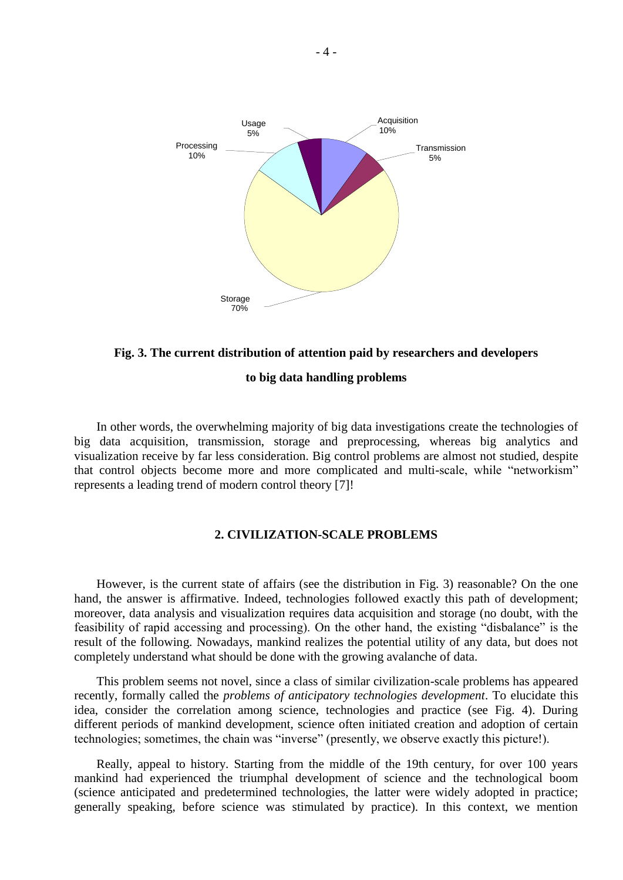



#### **to big data handling problems**

In other words, the overwhelming majority of big data investigations create the technologies of big data acquisition, transmission, storage and preprocessing, whereas big analytics and visualization receive by far less consideration. Big control problems are almost not studied, despite that control objects become more and more complicated and multi-scale, while "networkism" represents a leading trend of modern control theory [\[7\]](#page-13-1)!

## **2. CIVILIZATION-SCALE PROBLEMS**

However, is the current state of affairs (see the distribution in Fig. 3) reasonable? On the one hand, the answer is affirmative. Indeed, technologies followed exactly this path of development; moreover, data analysis and visualization requires data acquisition and storage (no doubt, with the feasibility of rapid accessing and processing). On the other hand, the existing "disbalance" is the result of the following. Nowadays, mankind realizes the potential utility of any data, but does not completely understand what should be done with the growing avalanche of data.

This problem seems not novel, since a class of similar civilization-scale problems has appeared recently, formally called the *problems of anticipatory technologies development*. To elucidate this idea, consider the correlation among science, technologies and practice (see Fig. 4). During different periods of mankind development, science often initiated creation and adoption of certain technologies; sometimes, the chain was "inverse" (presently, we observe exactly this picture!).

Really, appeal to history. Starting from the middle of the 19th century, for over 100 years mankind had experienced the triumphal development of science and the technological boom (science anticipated and predetermined technologies, the latter were widely adopted in practice; generally speaking, before science was stimulated by practice). In this context, we mention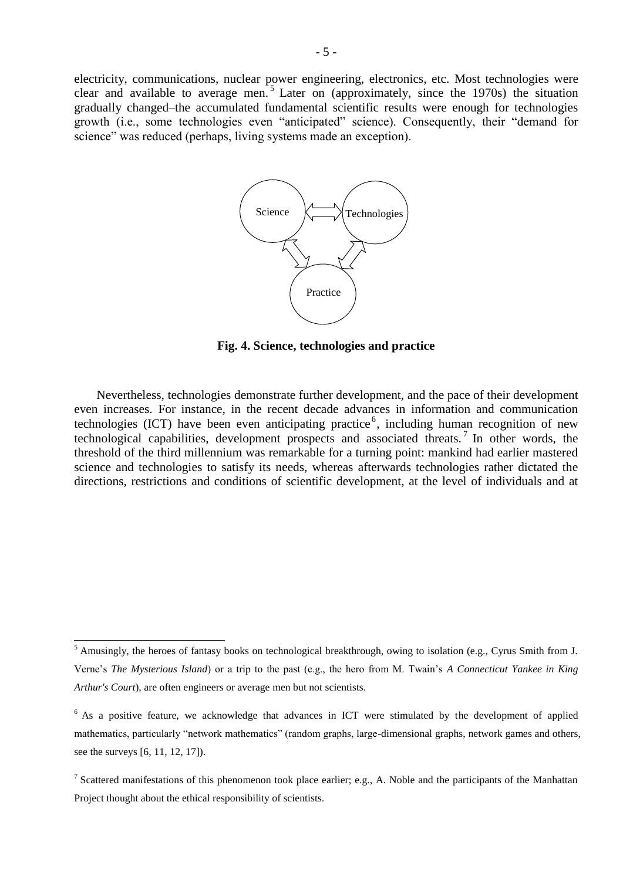electricity, communications, nuclear power engineering, electronics, etc. Most technologies were clear and available to average men.<sup>5</sup> Later on (approximately, since the 1970s) the situation gradually changed–the accumulated fundamental scientific results were enough for technologies growth (i.e., some technologies even "anticipated" science). Consequently, their "demand for science" was reduced (perhaps, living systems made an exception).



**Fig. 4. Science, technologies and practice**

Nevertheless, technologies demonstrate further development, and the pace of their development even increases. For instance, in the recent decade advances in information and communication technologies (ICT) have been even anticipating practice  $6$ , including human recognition of new technological capabilities, development prospects and associated threats.<sup>7</sup> In other words, the threshold of the third millennium was remarkable for a turning point: mankind had earlier mastered science and technologies to satisfy its needs, whereas afterwards technologies rather dictated the directions, restrictions and conditions of scientific development, at the level of individuals and at

 $\overline{\phantom{a}}$ 

 $<sup>5</sup>$  Amusingly, the heroes of fantasy books on technological breakthrough, owing to isolation (e.g., Cyrus Smith from J.</sup> Verne's *The Mysterious Island*) or a trip to the past (e.g., the hero from M. Twain's *A Connecticut Yankee in King Arthur's Court*), are often engineers or average men but not scientists.

<sup>&</sup>lt;sup>6</sup> As a positive feature, we acknowledge that advances in ICT were stimulated by the development of applied mathematics, particularly "network mathematics" (random graphs, large-dimensional graphs, network games and others, see the surveys [\[6,](#page-13-2) [11,](#page-13-3) [12,](#page-13-4) [17\]](#page-13-5)).

<sup>&</sup>lt;sup>7</sup> Scattered manifestations of this phenomenon took place earlier; e.g., A. Noble and the participants of the Manhattan Project thought about the ethical responsibility of scientists.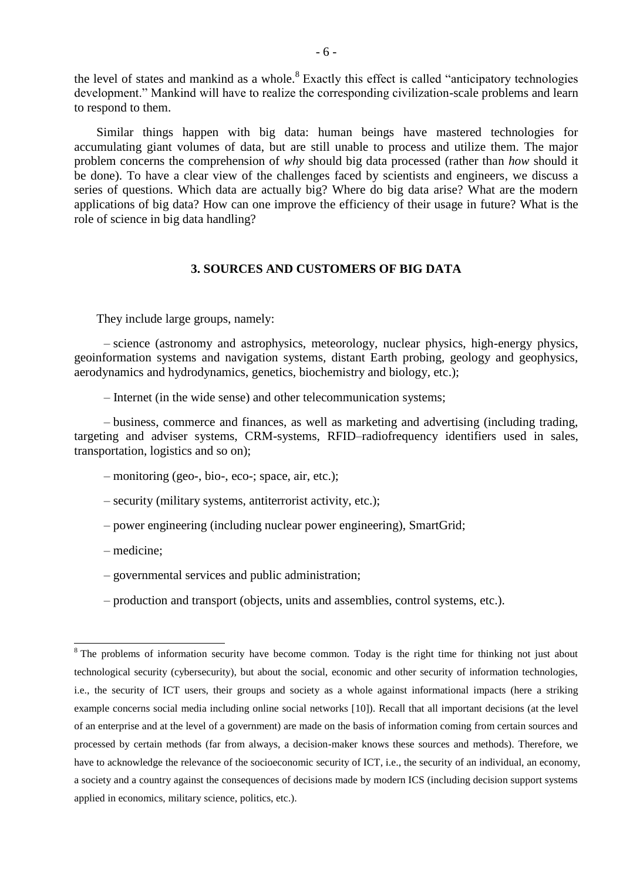the level of states and mankind as a whole.<sup>8</sup> Exactly this effect is called "anticipatory technologies development." Mankind will have to realize the corresponding civilization-scale problems and learn to respond to them.

Similar things happen with big data: human beings have mastered technologies for accumulating giant volumes of data, but are still unable to process and utilize them. The major problem concerns the comprehension of *why* should big data processed (rather than *how* should it be done). To have a clear view of the challenges faced by scientists and engineers, we discuss a series of questions. Which data are actually big? Where do big data arise? What are the modern applications of big data? How can one improve the efficiency of their usage in future? What is the role of science in big data handling?

#### **3. SOURCES AND CUSTOMERS OF BIG DATA**

They include large groups, namely:

– science (astronomy and astrophysics, meteorology, nuclear physics, high-energy physics, geoinformation systems and navigation systems, distant Earth probing, geology and geophysics, aerodynamics and hydrodynamics, genetics, biochemistry and biology, etc.);

– Internet (in the wide sense) and other telecommunication systems;

– business, commerce and finances, as well as marketing and advertising (including trading, targeting and adviser systems, CRM-systems, RFID–radiofrequency identifiers used in sales, transportation, logistics and so on);

- monitoring (geo-, bio-, eco-; space, air, etc.);
- security (military systems, antiterrorist activity, etc.);
- power engineering (including nuclear power engineering), SmartGrid;
- medicine;

l

- governmental services and public administration;
- production and transport (objects, units and assemblies, control systems, etc.).

 $8$  The problems of information security have become common. Today is the right time for thinking not just about technological security (cybersecurity), but about the social, economic and other security of information technologies, i.e., the security of ICT users, their groups and society as a whole against informational impacts (here a striking example concerns social media including online social networks [\[10\]](#page-13-6)). Recall that all important decisions (at the level of an enterprise and at the level of a government) are made on the basis of information coming from certain sources and processed by certain methods (far from always, a decision-maker knows these sources and methods). Therefore, we have to acknowledge the relevance of the socioeconomic security of ICT, i.e., the security of an individual, an economy, a society and a country against the consequences of decisions made by modern ICS (including decision support systems applied in economics, military science, politics, etc.).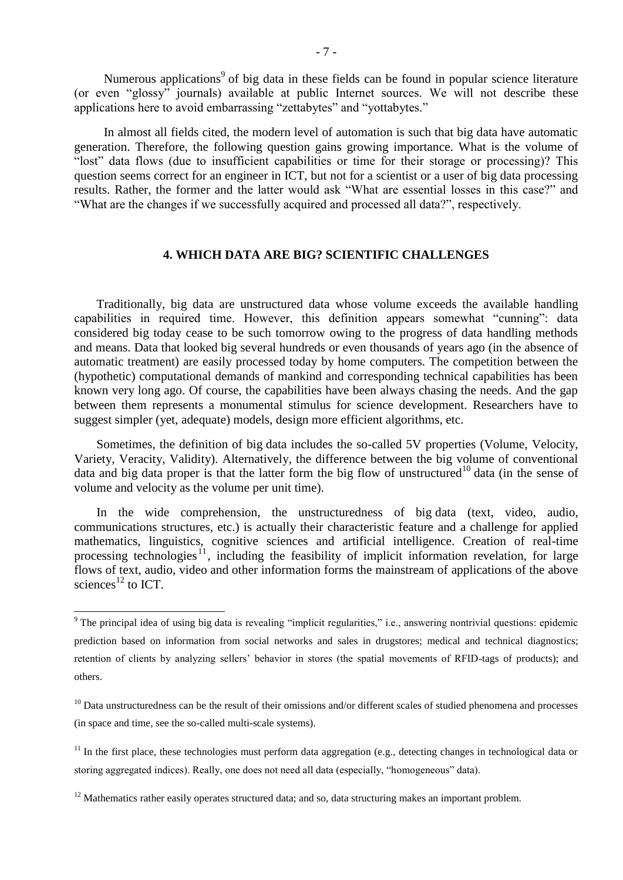Numerous applications<sup>9</sup> of big data in these fields can be found in popular science literature (or even "glossy" journals) available at public Internet sources. We will not describe these applications here to avoid embarrassing "zettabytes" and "yottabytes."

In almost all fields cited, the modern level of automation is such that big data have automatic generation. Therefore, the following question gains growing importance. What is the volume of "lost" data flows (due to insufficient capabilities or time for their storage or processing)? This question seems correct for an engineer in ICT, but not for a scientist or a user of big data processing results. Rather, the former and the latter would ask "What are essential losses in this case?" and "What are the changes if we successfully acquired and processed all data?", respectively.

## **4. WHICH DATA ARE BIG? SCIENTIFIC CHALLENGES**

Traditionally, big data are unstructured data whose volume exceeds the available handling capabilities in required time. However, this definition appears somewhat "cunning": data considered big today cease to be such tomorrow owing to the progress of data handling methods and means. Data that looked big several hundreds or even thousands of years ago (in the absence of automatic treatment) are easily processed today by home computers. The competition between the (hypothetic) computational demands of mankind and corresponding technical capabilities has been known very long ago. Of course, the capabilities have been always chasing the needs. And the gap between them represents a monumental stimulus for science development. Researchers have to suggest simpler (yet, adequate) models, design more efficient algorithms, etc.

Sometimes, the definition of big data includes the so-called 5V properties (Volume, Velocity, Variety, Veracity, Validity). Alternatively, the difference between the big volume of conventional data and big data proper is that the latter form the big flow of unstructured<sup>10</sup> data (in the sense of volume and velocity as the volume per unit time).

In the wide comprehension, the unstructuredness of big data (text, video, audio, communications structures, etc.) is actually their characteristic feature and a challenge for applied mathematics, linguistics, cognitive sciences and artificial intelligence. Creation of real-time processing technologies<sup>11</sup>, including the feasibility of implicit information revelation, for large flows of text, audio, video and other information forms the mainstream of applications of the above sciences $^{12}$  to ICT.

 $\overline{a}$ 

<sup>&</sup>lt;sup>9</sup> The principal idea of using big data is revealing "implicit regularities," i.e., answering nontrivial questions: epidemic prediction based on information from social networks and sales in drugstores; medical and technical diagnostics; retention of clients by analyzing sellers' behavior in stores (the spatial movements of RFID-tags of products); and others.

 $10$  Data unstructuredness can be the result of their omissions and/or different scales of studied phenomena and processes (in space and time, see the so-called multi-scale systems).

 $11$  In the first place, these technologies must perform data aggregation (e.g., detecting changes in technological data or storing aggregated indices). Really, one does not need all data (especially, "homogeneous" data).

 $12$  Mathematics rather easily operates structured data; and so, data structuring makes an important problem.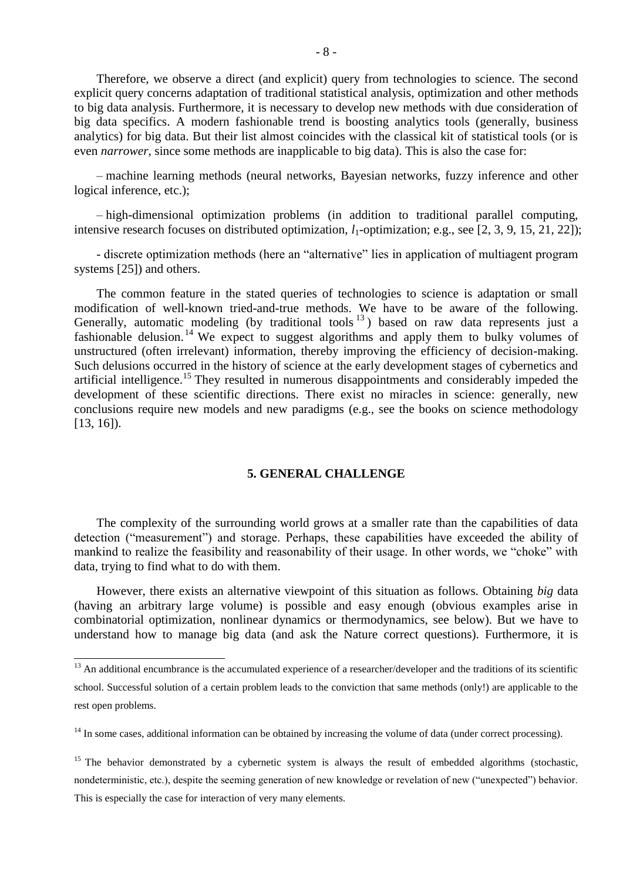Therefore, we observe a direct (and explicit) query from technologies to science. The second explicit query concerns adaptation of traditional statistical analysis, optimization and other methods to big data analysis. Furthermore, it is necessary to develop new methods with due consideration of big data specifics. A modern fashionable trend is boosting analytics tools (generally, business analytics) for big data. But their list almost coincides with the classical kit of statistical tools (or is even *narrower*, since some methods are inapplicable to big data). This is also the case for:

– machine learning methods (neural networks, Bayesian networks, fuzzy inference and other logical inference, etc.):

– high-dimensional optimization problems (in addition to traditional parallel computing, intensive research focuses on distributed optimization, *l*<sub>1</sub>-optimization; e.g., see [\[2,](#page-12-0) [3,](#page-12-1) [9,](#page-13-7) [15,](#page-13-8) [21,](#page-13-9) [22\]](#page-13-10));

- discrete optimization methods (here an "alternative" lies in application of multiagent program systems [\[25\]](#page-13-11)) and others.

The common feature in the stated queries of technologies to science is adaptation or small modification of well-known tried-and-true methods. We have to be aware of the following. Generally, automatic modeling (by traditional tools<sup>13</sup>) based on raw data represents just a fashionable delusion.<sup>14</sup> We expect to suggest algorithms and apply them to bulky volumes of unstructured (often irrelevant) information, thereby improving the efficiency of decision-making. Such delusions occurred in the history of science at the early development stages of cybernetics and artificial intelligence.<sup>15</sup> They resulted in numerous disappointments and considerably impeded the development of these scientific directions. There exist no miracles in science: generally, new conclusions require new models and new paradigms (e.g., see the books on science methodology [\[13,](#page-13-12) [16\]](#page-13-13)).

#### **5. GENERAL CHALLENGE**

The complexity of the surrounding world grows at a smaller rate than the capabilities of data detection ("measurement") and storage. Perhaps, these capabilities have exceeded the ability of mankind to realize the feasibility and reasonability of their usage. In other words, we "choke" with data, trying to find what to do with them.

However, there exists an alternative viewpoint of this situation as follows. Obtaining *big* data (having an arbitrary large volume) is possible and easy enough (obvious examples arise in combinatorial optimization, nonlinear dynamics or thermodynamics, see below). But we have to understand how to manage big data (and ask the Nature correct questions). Furthermore, it is

 $\overline{\phantom{a}}$ 

 $13$  An additional encumbrance is the accumulated experience of a researcher/developer and the traditions of its scientific school. Successful solution of a certain problem leads to the conviction that same methods (only!) are applicable to the rest open problems.

 $14$  In some cases, additional information can be obtained by increasing the volume of data (under correct processing).

<sup>&</sup>lt;sup>15</sup> The behavior demonstrated by a cybernetic system is always the result of embedded algorithms (stochastic, nondeterministic, etc.), despite the seeming generation of new knowledge or revelation of new ("unexpected") behavior. This is especially the case for interaction of very many elements.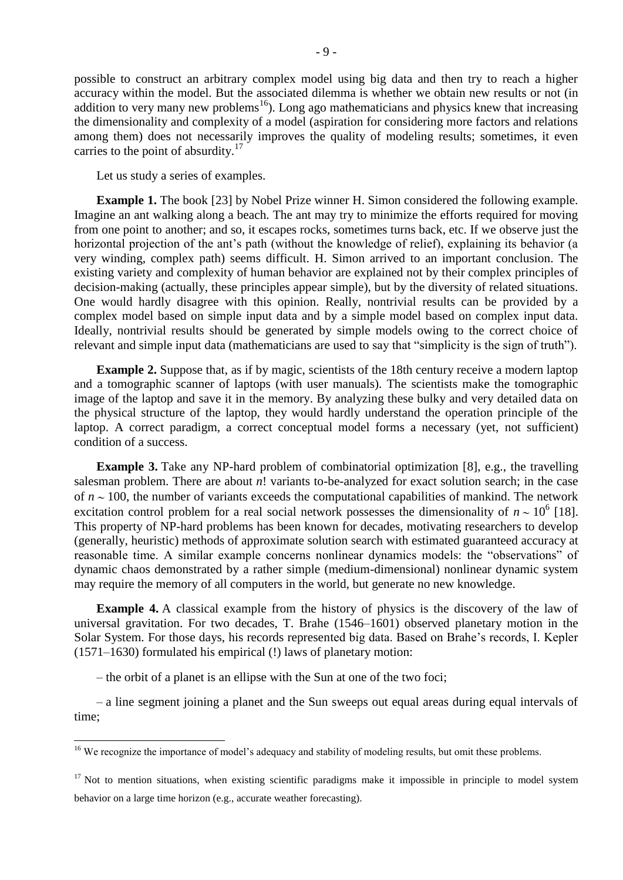possible to construct an arbitrary complex model using big data and then try to reach a higher accuracy within the model. But the associated dilemma is whether we obtain new results or not (in addition to very many new problems<sup>16</sup>). Long ago mathematicians and physics knew that increasing the dimensionality and complexity of a model (aspiration for considering more factors and relations among them) does not necessarily improves the quality of modeling results; sometimes, it even carries to the point of absurdity. $17$ 

Let us study a series of examples.

**Example 1.** The book [\[23\]](#page-13-14) by Nobel Prize winner H. Simon considered the following example. Imagine an ant walking along a beach. The ant may try to minimize the efforts required for moving from one point to another; and so, it escapes rocks, sometimes turns back, etc. If we observe just the horizontal projection of the ant's path (without the knowledge of relief), explaining its behavior (a very winding, complex path) seems difficult. H. Simon arrived to an important conclusion. The existing variety and complexity of human behavior are explained not by their complex principles of decision-making (actually, these principles appear simple), but by the diversity of related situations. One would hardly disagree with this opinion. Really, nontrivial results can be provided by a complex model based on simple input data and by a simple model based on complex input data. Ideally, nontrivial results should be generated by simple models owing to the correct choice of relevant and simple input data (mathematicians are used to say that "simplicity is the sign of truth").

**Example 2.** Suppose that, as if by magic, scientists of the 18th century receive a modern laptop and a tomographic scanner of laptops (with user manuals). The scientists make the tomographic image of the laptop and save it in the memory. By analyzing these bulky and very detailed data on the physical structure of the laptop, they would hardly understand the operation principle of the laptop. A correct paradigm, a correct conceptual model forms a necessary (yet, not sufficient) condition of a success.

**Example 3.** Take any NP-hard problem of combinatorial optimization [\[8\]](#page-13-15), e.g., the travelling salesman problem. There are about *n*! variants to-be-analyzed for exact solution search; in the case of  $n \sim 100$ , the number of variants exceeds the computational capabilities of mankind. The network excitation control problem for a real social network possesses the dimensionality of  $n \sim 10^6$  [\[18\]](#page-13-16). This property of NP-hard problems has been known for decades, motivating researchers to develop (generally, heuristic) methods of approximate solution search with estimated guaranteed accuracy at reasonable time. A similar example concerns nonlinear dynamics models: the "observations" of dynamic chaos demonstrated by a rather simple (medium-dimensional) nonlinear dynamic system may require the memory of all computers in the world, but generate no new knowledge.

**Example 4.** A classical example from the history of physics is the discovery of the law of universal gravitation. For two decades, T. Brahe (1546–1601) observed planetary motion in the Solar System. For those days, his records represented big data. Based on Brahe's records, I. Kepler (1571–1630) formulated his empirical (!) laws of planetary motion:

– the [orbit](http://en.wikipedia.org/wiki/Orbit) of a planet is an [ellipse](http://en.wikipedia.org/wiki/Ellipse) with the Sun at one of the two [foci;](http://en.wikipedia.org/wiki/Focus_(geometry))

 $\overline{\phantom{a}}$ 

– a line segment joining a planet and the Sun sweeps out equal areas during equal intervals of time;

<sup>&</sup>lt;sup>16</sup> We recognize the importance of model's adequacy and stability of modeling results, but omit these problems.

 $17$  Not to mention situations, when existing scientific paradigms make it impossible in principle to model system behavior on a large time horizon (e.g., accurate weather forecasting).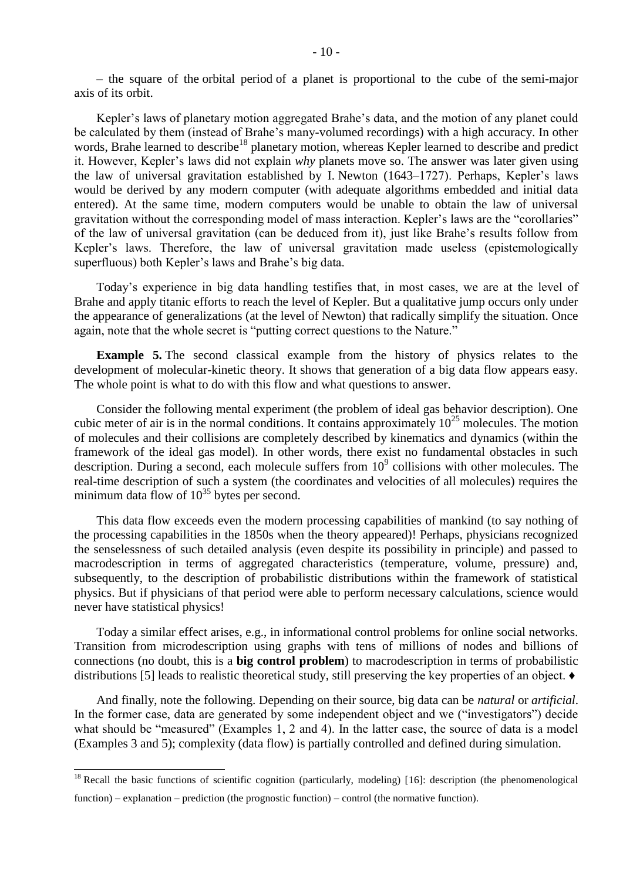– the square of the [orbital period](http://en.wikipedia.org/wiki/Orbital_period) of a planet is proportional to the cube of the [semi-major](http://en.wikipedia.org/wiki/Semi-major_axis)  [axis](http://en.wikipedia.org/wiki/Semi-major_axis) of its orbit.

Kepler's laws of planetary motion aggregated Brahe's data, and the motion of any planet could be calculated by them (instead of Brahe's many-volumed recordings) with a high accuracy. In other words, Brahe learned to describe<sup>18</sup> planetary motion, whereas Kepler learned to describe and predict it. However, Kepler's laws did not explain *why* planets move so. The answer was later given using the law of universal gravitation established by I. Newton (1643–1727). Perhaps, Kepler's laws would be derived by any modern computer (with adequate algorithms embedded and initial data entered). At the same time, modern computers would be unable to obtain the law of universal gravitation without the corresponding model of mass interaction. Kepler's laws are the "corollaries" of the law of universal gravitation (can be deduced from it), just like Brahe's results follow from Kepler's laws. Therefore, the law of universal gravitation made useless (epistemologically superfluous) both Kepler's laws and Brahe's big data.

Today's experience in big data handling testifies that, in most cases, we are at the level of Brahe and apply titanic efforts to reach the level of Kepler. But a qualitative jump occurs only under the appearance of generalizations (at the level of Newton) that radically simplify the situation. Once again, note that the whole secret is "putting correct questions to the Nature."

**Example 5.** The second classical example from the history of physics relates to the development of molecular-kinetic theory. It shows that generation of a big data flow appears easy. The whole point is what to do with this flow and what questions to answer.

Consider the following mental experiment (the problem of ideal gas behavior description). One cubic meter of air is in the normal conditions. It contains approximately  $10^{25}$  molecules. The motion of molecules and their collisions are completely described by kinematics and dynamics (within the framework of the ideal gas model). In other words, there exist no fundamental obstacles in such description. During a second, each molecule suffers from  $10<sup>9</sup>$  collisions with other molecules. The real-time description of such a system (the coordinates and velocities of all molecules) requires the minimum data flow of  $10^{35}$  bytes per second.

This data flow exceeds even the modern processing capabilities of mankind (to say nothing of the processing capabilities in the 1850s when the theory appeared)! Perhaps, physicians recognized the senselessness of such detailed analysis (even despite its possibility in principle) and passed to macrodescription in terms of aggregated characteristics (temperature, volume, pressure) and, subsequently, to the description of probabilistic distributions within the framework of statistical physics. But if physicians of that period were able to perform necessary calculations, science would never have statistical physics!

Today a similar effect arises, e.g., in informational control problems for online social networks. Transition from microdescription using graphs with tens of millions of nodes and billions of connections (no doubt, this is a **big control problem**) to macrodescription in terms of probabilistic distributions [\[5\]](#page-13-17) leads to realistic theoretical study, still preserving the key properties of an object. ♦

And finally, note the following. Depending on their source, big data can be *natural* or *artificial*. In the former case, data are generated by some independent object and we ("investigators") decide what should be "measured" (Examples 1, 2 and 4). In the latter case, the source of data is a model (Examples 3 and 5); complexity (data flow) is partially controlled and defined during simulation.

l

 $18$  Recall the basic functions of scientific cognition (particularly, modeling) [\[16\]](#page-13-13): description (the phenomenological function) – explanation – prediction (the prognostic function) – control (the normative function).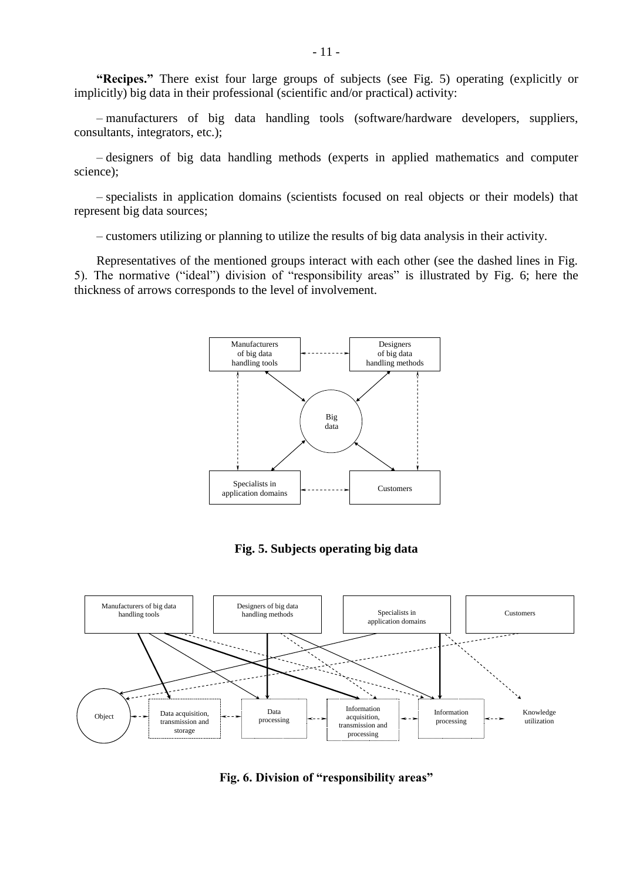**"Recipes."** There exist four large groups of subjects (see Fig. 5) operating (explicitly or implicitly) big data in their professional (scientific and/or practical) activity:

– manufacturers of big data handling tools (software/hardware developers, suppliers, consultants, integrators, etc.);

– designers of big data handling methods (experts in applied mathematics and computer science);

– specialists in application domains (scientists focused on real objects or their models) that represent big data sources;

– customers utilizing or planning to utilize the results of big data analysis in their activity.

Representatives of the mentioned groups interact with each other (see the dashed lines in Fig. 5). The normative ("ideal") division of "responsibility areas" is illustrated by Fig. 6; here the thickness of arrows corresponds to the level of involvement.



## **Fig. 5. Subjects operating big data**



**Fig. 6. Division of "responsibility areas"**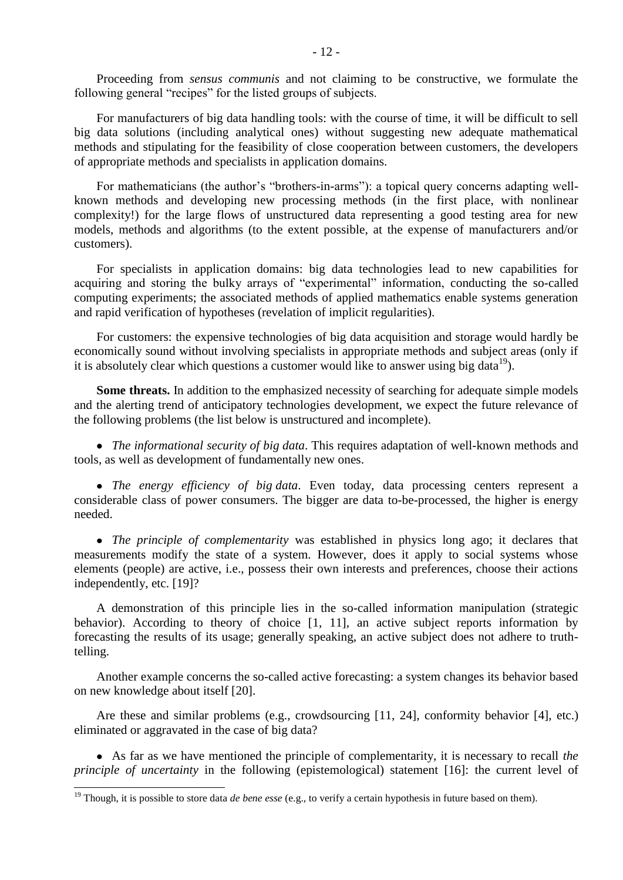Proceeding from *sensus communis* and not claiming to be constructive, we formulate the following general "recipes" for the listed groups of subjects.

For manufacturers of big data handling tools: with the course of time, it will be difficult to sell big data solutions (including analytical ones) without suggesting new adequate mathematical methods and stipulating for the feasibility of close cooperation between customers, the developers of appropriate methods and specialists in application domains.

For mathematicians (the author's "brothers-in-arms"): a topical query concerns adapting wellknown methods and developing new processing methods (in the first place, with nonlinear complexity!) for the large flows of unstructured data representing a good testing area for new models, methods and algorithms (to the extent possible, at the expense of manufacturers and/or customers).

For specialists in application domains: big data technologies lead to new capabilities for acquiring and storing the bulky arrays of "experimental" information, conducting the so-called computing experiments; the associated methods of applied mathematics enable systems generation and rapid verification of hypotheses (revelation of implicit regularities).

For customers: the expensive technologies of big data acquisition and storage would hardly be economically sound without involving specialists in appropriate methods and subject areas (only if it is absolutely clear which questions a customer would like to answer using big data<sup>19</sup>).

**Some threats.** In addition to the emphasized necessity of searching for adequate simple models and the alerting trend of anticipatory technologies development, we expect the future relevance of the following problems (the list below is unstructured and incomplete).

*The informational security of big data*. This requires adaptation of well-known methods and tools, as well as development of fundamentally new ones.

*The energy efficiency of big data*. Even today, data processing centers represent a considerable class of power consumers. The bigger are data to-be-processed, the higher is energy needed.

*The principle of complementarity* was established in physics long ago; it declares that measurements modify the state of a system. However, does it apply to social systems whose elements (people) are active, i.e., possess their own interests and preferences, choose their actions independently, etc. [\[19\]](#page-13-18)?

A demonstration of this principle lies in the so-called information manipulation (strategic behavior). According to theory of choice [\[1,](#page-12-2) [11\]](#page-13-3), an active subject reports information by forecasting the results of its usage; generally speaking, an active subject does not adhere to truthtelling.

Another example concerns the so-called active forecasting: a system changes its behavior based on new knowledge about itself [\[20\]](#page-13-19).

Are these and similar problems (e.g., crowdsourcing [\[11,](#page-13-3) [24\]](#page-13-20), conformity behavior [\[4\]](#page-12-3), etc.) eliminated or aggravated in the case of big data?

As far as we have mentioned the principle of complementarity, it is necessary to recall *the principle of uncertainty* in the following (epistemological) statement [\[16\]](#page-13-13): the current level of

 $\overline{a}$ 

<sup>&</sup>lt;sup>19</sup> Though, it is possible to store data *de bene esse* (e.g., to verify a certain hypothesis in future based on them).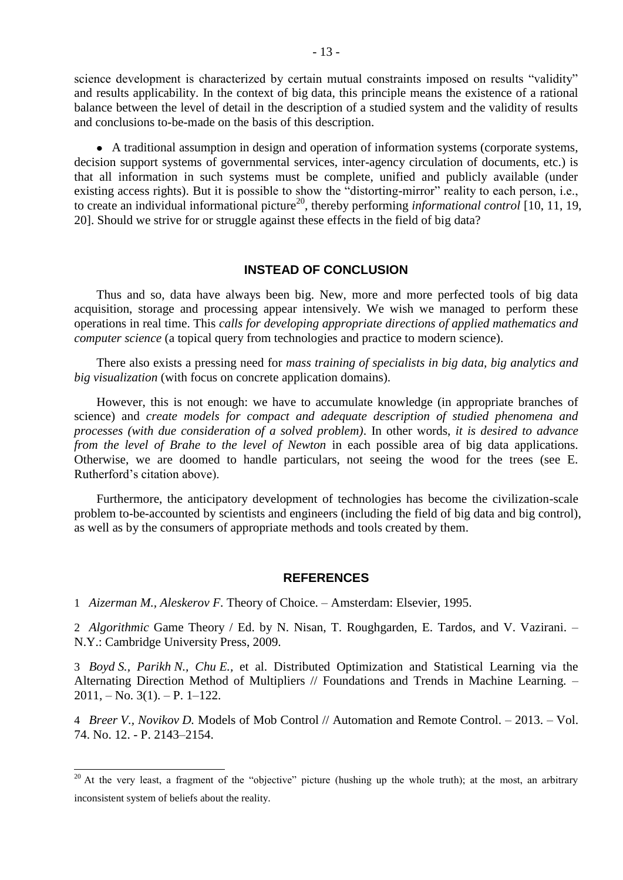science development is characterized by certain mutual constraints imposed on results "validity" and results applicability. In the context of big data, this principle means the existence of a rational balance between the level of detail in the description of a studied system and the validity of results and conclusions to-be-made on the basis of this description.

A traditional assumption in design and operation of information systems (corporate systems, decision support systems of governmental services, inter-agency circulation of documents, etc.) is that all information in such systems must be complete, unified and publicly available (under existing access rights). But it is possible to show the "distorting-mirror" reality to each person, i.e., to create an individual informational picture<sup>20</sup>, thereby performing *informational control* [\[10,](#page-13-6) [11,](#page-13-3) [19,](#page-13-18) [20\]](#page-13-19). Should we strive for or struggle against these effects in the field of big data?

#### **INSTEAD OF CONCLUSION**

Thus and so, data have always been big. New, more and more perfected tools of big data acquisition, storage and processing appear intensively. We wish we managed to perform these operations in real time. This *calls for developing appropriate directions of applied mathematics and computer science* (a topical query from technologies and practice to modern science).

There also exists a pressing need for *mass training of specialists in big data, big analytics and big visualization* (with focus on concrete application domains).

However, this is not enough: we have to accumulate knowledge (in appropriate branches of science) and *create models for compact and adequate description of studied phenomena and processes (with due consideration of a solved problem)*. In other words, *it is desired to advance from the level of Brahe to the level of Newton* in each possible area of big data applications. Otherwise, we are doomed to handle particulars, not seeing the wood for the trees (see E. Rutherford's citation above).

Furthermore, the anticipatory development of technologies has become the civilization-scale problem to-be-accounted by scientists and engineers (including the field of big data and big control), as well as by the consumers of appropriate methods and tools created by them.

#### **REFERENCES**

<span id="page-12-2"></span>1 *Aizerman M., Aleskerov F.* Theory of Choice. – Amsterdam: Elsevier, 1995.

l

<span id="page-12-0"></span>2 *Algorithmic* Game Theory / Ed. by N. Nisan, T. Roughgarden, E. Tardos, and V. Vazirani. – N.Y.: Cambridge University Press, 2009.

<span id="page-12-1"></span>3 *Boyd S., Parikh N., Chu E.,* et al. Distributed Optimization and Statistical Learning via the Alternating Direction Method of Multipliers // Foundations and Trends in Machine Learning. –  $2011, -N_0$ ,  $3(1)$ ,  $-P$ ,  $1-122$ .

<span id="page-12-3"></span>4 *Breer V., Novikov D.* Models of Mob Control // Automation and Remote Control. – 2013. – Vol. 74. No. 12. - P. 2143–2154.

 $20$  At the very least, a fragment of the "objective" picture (hushing up the whole truth); at the most, an arbitrary inconsistent system of beliefs about the reality.